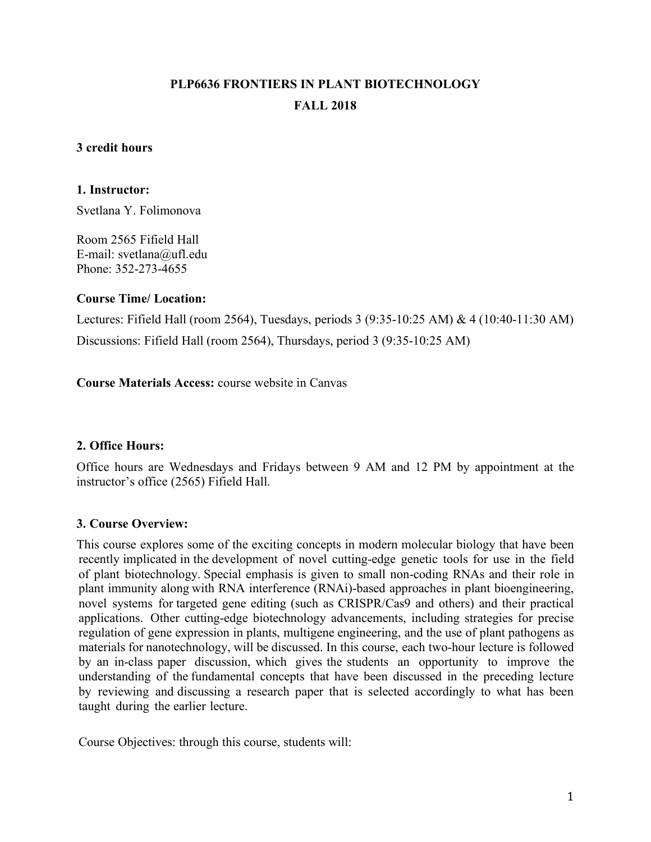# **PLP6636 FRONTIERS IN PLANT BIOTECHNOLOGY FALL 2018**

#### **3 credit hours**

#### **1. Instructor:**

Svetlana Y. Folimonova

Room 2565 Fifield Hall E-mail: svetlana@ufl.edu Phone: 352-273-4655

#### **Course Time/ Location:**

Lectures: Fifield Hall (room 2564), Tuesdays, periods 3 (9:35-10:25 AM) & 4 (10:40-11:30 AM) Discussions: Fifield Hall (room 2564), Thursdays, period 3 (9:35-10:25 AM)

**Course Materials Access:** course website in Canvas

# **2. Office Hours:**

Office hours are Wednesdays and Fridays between 9 AM and 12 PM by appointment at the instructor's office (2565) Fifield Hall.

# **3. Course Overview:**

This course explores some of the exciting concepts in modern molecular biology that have been recently implicated in the development of novel cutting-edge genetic tools for use in the field of plant biotechnology. Special emphasis is given to small non-coding RNAs and their role in plant immunity along with RNA interference (RNAi)-based approaches in plant bioengineering, novel systems for targeted gene editing (such as CRISPR/Cas9 and others) and their practical applications. Other cutting-edge biotechnology advancements, including strategies for precise regulation of gene expression in plants, multigene engineering, and the use of plant pathogens as materials for nanotechnology, will be discussed. In this course, each two-hour lecture is followed by an in-class paper discussion, which gives the students an opportunity to improve the understanding of the fundamental concepts that have been discussed in the preceding lecture by reviewing and discussing a research paper that is selected accordingly to what has been taught during the earlier lecture.

Course Objectives: through this course, students will: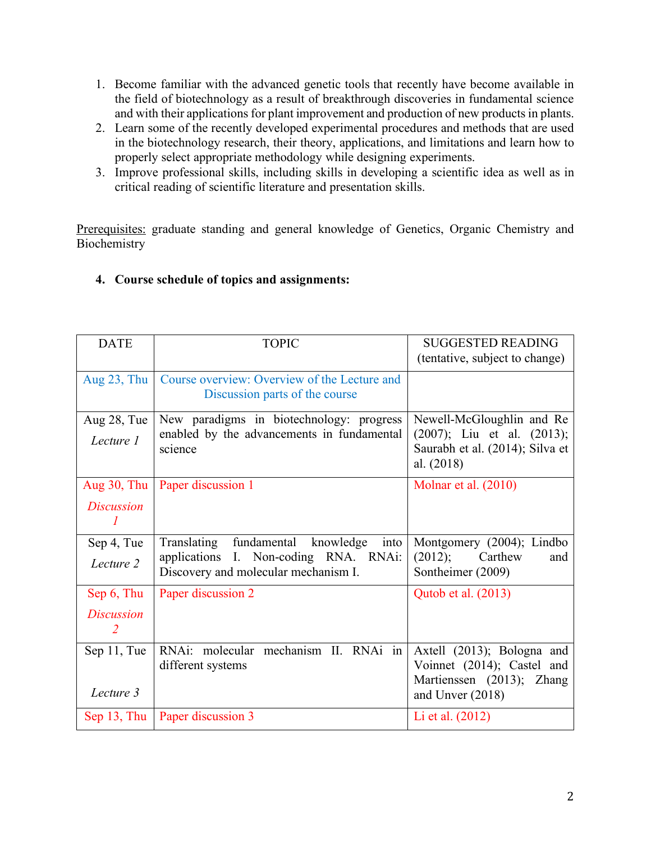- 1. Become familiar with the advanced genetic tools that recently have become available in the field of biotechnology as a result of breakthrough discoveries in fundamental science and with their applications for plant improvement and production of new products in plants.
- 2. Learn some of the recently developed experimental procedures and methods that are used in the biotechnology research, their theory, applications, and limitations and learn how to properly select appropriate methodology while designing experiments.
- 3. Improve professional skills, including skills in developing a scientific idea as well as in critical reading of scientific literature and presentation skills.

Prerequisites: graduate standing and general knowledge of Genetics, Organic Chemistry and Biochemistry

| <b>DATE</b>                         | <b>TOPIC</b>                                                                   | <b>SUGGESTED READING</b>                                                          |  |
|-------------------------------------|--------------------------------------------------------------------------------|-----------------------------------------------------------------------------------|--|
|                                     |                                                                                | (tentative, subject to change)                                                    |  |
| Aug $23$ , Thu                      | Course overview: Overview of the Lecture and<br>Discussion parts of the course |                                                                                   |  |
| Aug 28, Tue                         | New paradigms in biotechnology: progress                                       | Newell-McGloughlin and Re                                                         |  |
| Lecture 1                           | enabled by the advancements in fundamental<br>science                          | $(2007)$ ; Liu et al. $(2013)$ ;<br>Saurabh et al. (2014); Silva et<br>al. (2018) |  |
| Aug 30, Thu                         | Paper discussion 1                                                             | Molnar et al. $(2010)$                                                            |  |
| <b>Discussion</b><br>1              |                                                                                |                                                                                   |  |
| Sep 4, Tue                          | Translating fundamental knowledge<br>into                                      | Montgomery (2004); Lindbo                                                         |  |
| Lecture 2                           | applications I. Non-coding RNA. RNAi:<br>Discovery and molecular mechanism I.  | (2012);<br>Carthew<br>and<br>Sontheimer (2009)                                    |  |
| Sep 6, Thu                          | Paper discussion 2                                                             | Qutob et al. (2013)                                                               |  |
| <i>Discussion</i><br>$\overline{2}$ |                                                                                |                                                                                   |  |
| Sep 11, Tue                         | RNAi: molecular mechanism II. RNAi in<br>different systems                     | Axtell (2013); Bologna and<br>Voinnet (2014); Castel and                          |  |
| Lecture 3                           |                                                                                | Martienssen (2013); Zhang<br>and Unver (2018)                                     |  |
| Sep $13$ , Thu                      | Paper discussion 3                                                             | Li et al. (2012)                                                                  |  |

# **4. Course schedule of topics and assignments:**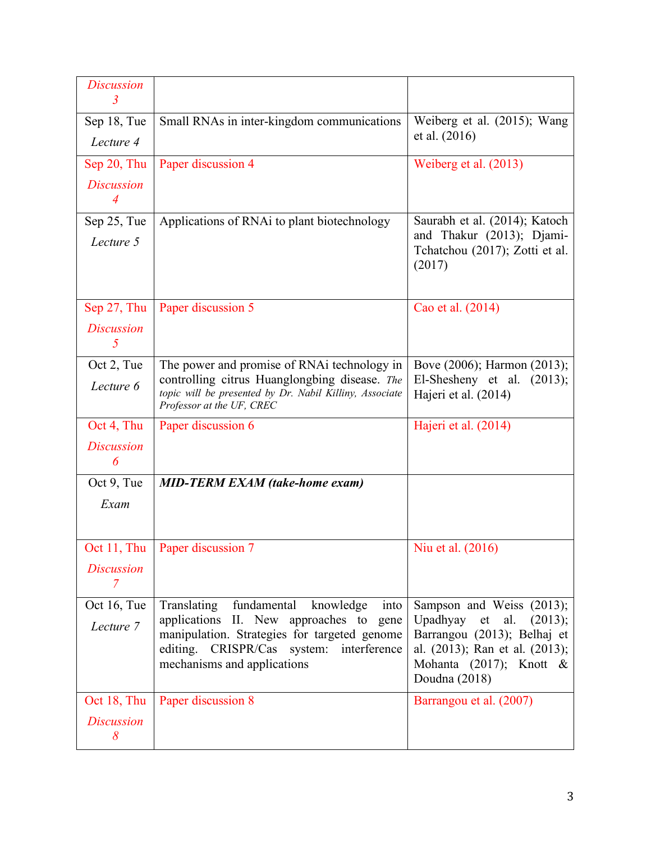| <b>Discussion</b><br>$\mathfrak{Z}$   |                                                                                                                                                                                                                       |                                                                                                                                                                      |  |
|---------------------------------------|-----------------------------------------------------------------------------------------------------------------------------------------------------------------------------------------------------------------------|----------------------------------------------------------------------------------------------------------------------------------------------------------------------|--|
| Sep 18, Tue<br>Lecture 4              | Small RNAs in inter-kingdom communications                                                                                                                                                                            | Weiberg et al. (2015); Wang<br>et al. (2016)                                                                                                                         |  |
| Sep 20, Thu                           | Paper discussion 4                                                                                                                                                                                                    | Weiberg et al. (2013)                                                                                                                                                |  |
| <b>Discussion</b><br>$\overline{4}$   |                                                                                                                                                                                                                       |                                                                                                                                                                      |  |
| Sep 25, Tue<br>Lecture 5              | Applications of RNAi to plant biotechnology                                                                                                                                                                           | Saurabh et al. (2014); Katoch<br>and Thakur (2013); Djami-<br>Tchatchou (2017); Zotti et al.<br>(2017)                                                               |  |
| Sep 27, Thu<br><b>Discussion</b><br>5 | Paper discussion 5                                                                                                                                                                                                    | Cao et al. (2014)                                                                                                                                                    |  |
| Oct 2, Tue                            | The power and promise of RNAi technology in                                                                                                                                                                           | Bove (2006); Harmon (2013);                                                                                                                                          |  |
| Lecture 6                             | controlling citrus Huanglongbing disease. The<br>topic will be presented by Dr. Nabil Killiny, Associate<br>Professor at the UF, CREC                                                                                 | El-Shesheny et al. $(2013)$ ;<br>Hajeri et al. (2014)                                                                                                                |  |
| Oct 4, Thu                            | Paper discussion 6                                                                                                                                                                                                    | Hajeri et al. (2014)                                                                                                                                                 |  |
| <b>Discussion</b><br>6                |                                                                                                                                                                                                                       |                                                                                                                                                                      |  |
| Oct 9, Tue                            | <b>MID-TERM EXAM (take-home exam)</b>                                                                                                                                                                                 |                                                                                                                                                                      |  |
| Exam                                  |                                                                                                                                                                                                                       |                                                                                                                                                                      |  |
|                                       | Oct 11, Thu   Paper discussion 7                                                                                                                                                                                      | Niu et al. (2016)                                                                                                                                                    |  |
| <i>Discussion</i><br>7                |                                                                                                                                                                                                                       |                                                                                                                                                                      |  |
| Oct 16, Tue<br>Lecture 7              | Translating<br>fundamental<br>knowledge<br>into<br>applications II. New approaches to gene<br>manipulation. Strategies for targeted genome<br>editing. CRISPR/Cas system: interference<br>mechanisms and applications | Sampson and Weiss (2013);<br>Upadhyay et al.<br>(2013);<br>Barrangou (2013); Belhaj et<br>al. (2013); Ran et al. (2013);<br>Mohanta (2017); Knott &<br>Doudna (2018) |  |
| Oct 18, Thu<br><b>Discussion</b><br>8 | Paper discussion 8                                                                                                                                                                                                    | Barrangou et al. (2007)                                                                                                                                              |  |
|                                       |                                                                                                                                                                                                                       |                                                                                                                                                                      |  |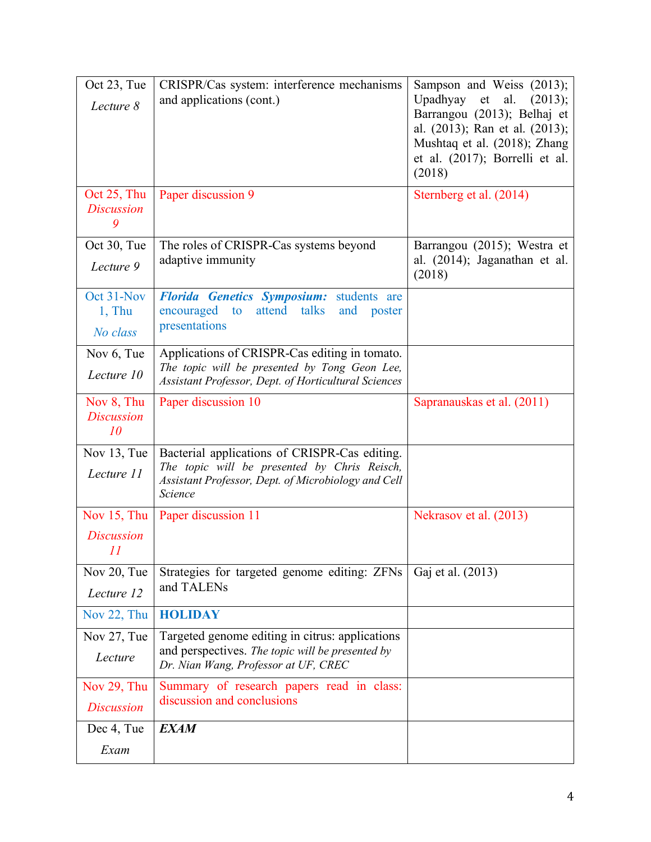| Oct 23, Tue<br>Lecture 8<br>Oct 25, Thu | CRISPR/Cas system: interference mechanisms<br>and applications (cont.)<br>Paper discussion 9                                                                    | Sampson and Weiss (2013);<br>Upadhyay et al.<br>(2013);<br>Barrangou (2013); Belhaj et<br>al. (2013); Ran et al. (2013);<br>Mushtaq et al. (2018); Zhang<br>et al. (2017); Borrelli et al.<br>(2018)<br>Sternberg et al. (2014) |  |
|-----------------------------------------|-----------------------------------------------------------------------------------------------------------------------------------------------------------------|---------------------------------------------------------------------------------------------------------------------------------------------------------------------------------------------------------------------------------|--|
| <b>Discussion</b><br>9                  |                                                                                                                                                                 |                                                                                                                                                                                                                                 |  |
| Oct 30, Tue<br>Lecture 9                | The roles of CRISPR-Cas systems beyond<br>adaptive immunity                                                                                                     | Barrangou (2015); Westra et<br>al. (2014); Jaganathan et al.<br>(2018)                                                                                                                                                          |  |
| Oct 31-Nov<br>$1,$ Thu<br>No class      | Florida Genetics Symposium: students are<br>attend<br>talks<br>encouraged<br>to<br>and<br>poster<br>presentations                                               |                                                                                                                                                                                                                                 |  |
| Nov 6, Tue<br>Lecture 10                | Applications of CRISPR-Cas editing in tomato.<br>The topic will be presented by Tong Geon Lee,<br>Assistant Professor, Dept. of Horticultural Sciences          |                                                                                                                                                                                                                                 |  |
| Nov 8, Thu<br><b>Discussion</b><br>10   | Paper discussion 10                                                                                                                                             | Sapranauskas et al. (2011)                                                                                                                                                                                                      |  |
| Nov 13, Tue<br>Lecture 11               | Bacterial applications of CRISPR-Cas editing.<br>The topic will be presented by Chris Reisch,<br>Assistant Professor, Dept. of Microbiology and Cell<br>Science |                                                                                                                                                                                                                                 |  |
| Nov 15, Thu<br><b>Discussion</b><br>II  | Paper discussion 11                                                                                                                                             | Nekrasov et al. (2013)                                                                                                                                                                                                          |  |
| Nov 20, Tue<br>Lecture 12               | Strategies for targeted genome editing: ZFNs<br>and TALENs                                                                                                      | Gaj et al. (2013)                                                                                                                                                                                                               |  |
| Nov 22, Thu                             | <b>HOLIDAY</b>                                                                                                                                                  |                                                                                                                                                                                                                                 |  |
| Nov 27, Tue<br>Lecture                  | Targeted genome editing in citrus: applications<br>and perspectives. The topic will be presented by<br>Dr. Nian Wang, Professor at UF, CREC                     |                                                                                                                                                                                                                                 |  |
| Nov 29, Thu<br><b>Discussion</b>        | Summary of research papers read in class:<br>discussion and conclusions                                                                                         |                                                                                                                                                                                                                                 |  |
| Dec 4, Tue                              | <b>EXAM</b>                                                                                                                                                     |                                                                                                                                                                                                                                 |  |
| Exam                                    |                                                                                                                                                                 |                                                                                                                                                                                                                                 |  |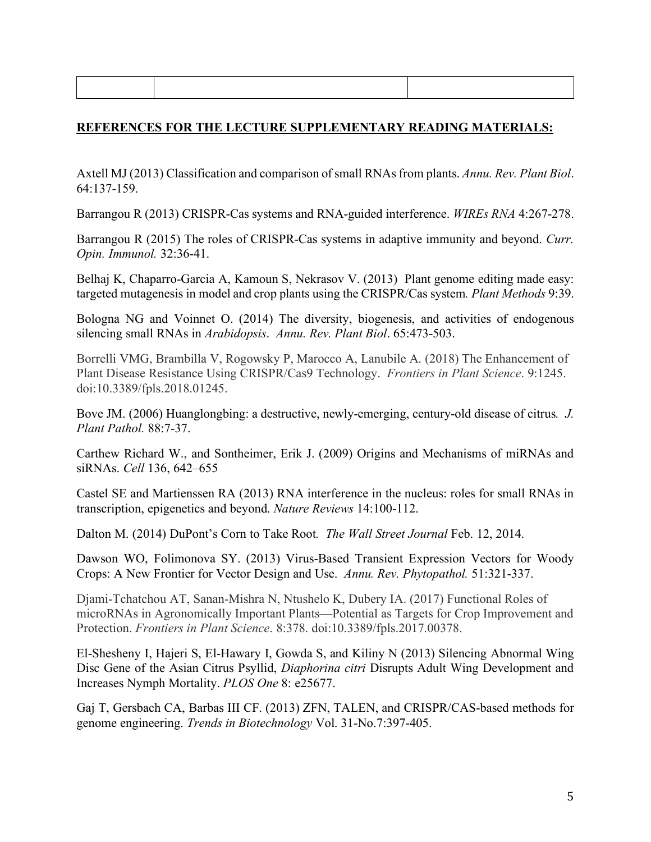# **REFERENCES FOR THE LECTURE SUPPLEMENTARY READING MATERIALS:**

Axtell MJ (2013) Classification and comparison of small RNAs from plants. *Annu. Rev. Plant Biol*. 64:137-159.

Barrangou R (2013) CRISPR-Cas systems and RNA-guided interference. *WIREs RNA* 4:267-278.

Barrangou R (2015) The roles of CRISPR-Cas systems in adaptive immunity and beyond. *Curr. Opin. Immunol.* 32:36-41.

Belhaj K, Chaparro-Garcia A, Kamoun S, Nekrasov V. (2013) Plant genome editing made easy: targeted mutagenesis in model and crop plants using the CRISPR/Cas system*. Plant Methods* 9:39.

Bologna NG and Voinnet O. (2014) The diversity, biogenesis, and activities of endogenous silencing small RNAs in *Arabidopsis*. *Annu. Rev. Plant Biol*. 65:473-503.

Borrelli VMG, Brambilla V, Rogowsky P, Marocco A, Lanubile A. (2018) The Enhancement of Plant Disease Resistance Using CRISPR/Cas9 Technology. *Frontiers in Plant Science*. 9:1245. doi:10.3389/fpls.2018.01245.

Bove JM. (2006) Huanglongbing: a destructive, newly-emerging, century-old disease of citrus*. J. Plant Pathol.* 88:7-37.

Carthew Richard W., and Sontheimer, Erik J. (2009) Origins and Mechanisms of miRNAs and siRNAs. *Cell* 136, 642–655

Castel SE and Martienssen RA (2013) RNA interference in the nucleus: roles for small RNAs in transcription, epigenetics and beyond. *Nature Reviews* 14:100-112.

Dalton M. (2014) DuPont's Corn to Take Root*. The Wall Street Journal* Feb. 12, 2014.

Dawson WO, Folimonova SY. (2013) Virus-Based Transient Expression Vectors for Woody Crops: A New Frontier for Vector Design and Use. *Annu. Rev. Phytopathol.* 51:321-337.

Djami-Tchatchou AT, Sanan-Mishra N, Ntushelo K, Dubery IA. (2017) Functional Roles of microRNAs in Agronomically Important Plants—Potential as Targets for Crop Improvement and Protection. *Frontiers in Plant Science*. 8:378. doi:10.3389/fpls.2017.00378.

El-Shesheny I, Hajeri S, El-Hawary I, Gowda S, and Kiliny N (2013) Silencing Abnormal Wing Disc Gene of the Asian Citrus Psyllid, *Diaphorina citri* Disrupts Adult Wing Development and Increases Nymph Mortality. *PLOS One* 8: e25677.

Gaj T, Gersbach CA, Barbas III CF. (2013) ZFN, TALEN, and CRISPR/CAS-based methods for genome engineering. *Trends in Biotechnology* Vol. 31-No.7:397-405.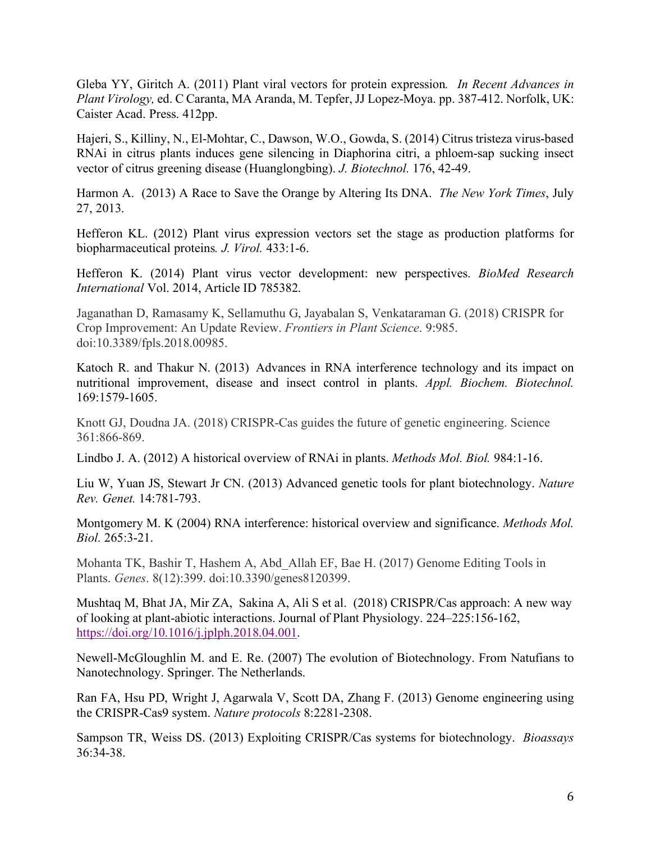Gleba YY, Giritch A. (2011) Plant viral vectors for protein expression*. In Recent Advances in Plant Virology,* ed. C Caranta, MA Aranda, M. Tepfer, JJ Lopez-Moya. pp. 387-412. Norfolk, UK: Caister Acad. Press. 412pp.

Hajeri, S., Killiny, N., El-Mohtar, C., Dawson, W.O., Gowda, S. (2014) Citrus tristeza virus-based RNAi in citrus plants induces gene silencing in Diaphorina citri, a phloem-sap sucking insect vector of citrus greening disease (Huanglongbing). *J. Biotechnol.* 176, 42-49.

Harmon A. (2013) A Race to Save the Orange by Altering Its DNA. *The New York Times*, July 27, 2013.

Hefferon KL. (2012) Plant virus expression vectors set the stage as production platforms for biopharmaceutical proteins*. J. Virol.* 433:1-6.

Hefferon K. (2014) Plant virus vector development: new perspectives. *BioMed Research International* Vol. 2014, Article ID 785382.

Jaganathan D, Ramasamy K, Sellamuthu G, Jayabalan S, Venkataraman G. (2018) CRISPR for Crop Improvement: An Update Review. *Frontiers in Plant Science*. 9:985. doi:10.3389/fpls.2018.00985.

Katoch R. and Thakur N. (2013) Advances in RNA interference technology and its impact on nutritional improvement, disease and insect control in plants. *Appl. Biochem. Biotechnol.* 169:1579-1605.

Knott GJ, Doudna JA. (2018) CRISPR-Cas guides the future of genetic engineering. Science 361:866-869.

Lindbo J. A. (2012) A historical overview of RNAi in plants. *Methods Mol. Biol.* 984:1-16.

Liu W, Yuan JS, Stewart Jr CN. (2013) Advanced genetic tools for plant biotechnology. *Nature Rev. Genet.* 14:781-793.

Montgomery M. K (2004) RNA interference: historical overview and significance. *Methods Mol. Biol.* 265:3-21.

Mohanta TK, Bashir T, Hashem A, Abd\_Allah EF, Bae H. (2017) Genome Editing Tools in Plants. *Genes*. 8(12):399. doi:10.3390/genes8120399.

Mushtaq M, Bhat JA, Mir ZA, Sakina A, Ali S et al. (2018) CRISPR/Cas approach: A new way of looking at plant-abiotic interactions. Journal of Plant Physiology. 224–225:156-162, https://doi.org/10.1016/j.jplph.2018.04.001.

Newell-McGloughlin M. and E. Re. (2007) The evolution of Biotechnology. From Natufians to Nanotechnology. Springer. The Netherlands.

Ran FA, Hsu PD, Wright J, Agarwala V, Scott DA, Zhang F. (2013) Genome engineering using the CRISPR-Cas9 system. *Nature protocols* 8:2281-2308.

Sampson TR, Weiss DS. (2013) Exploiting CRISPR/Cas systems for biotechnology. *Bioassays*  36:34-38.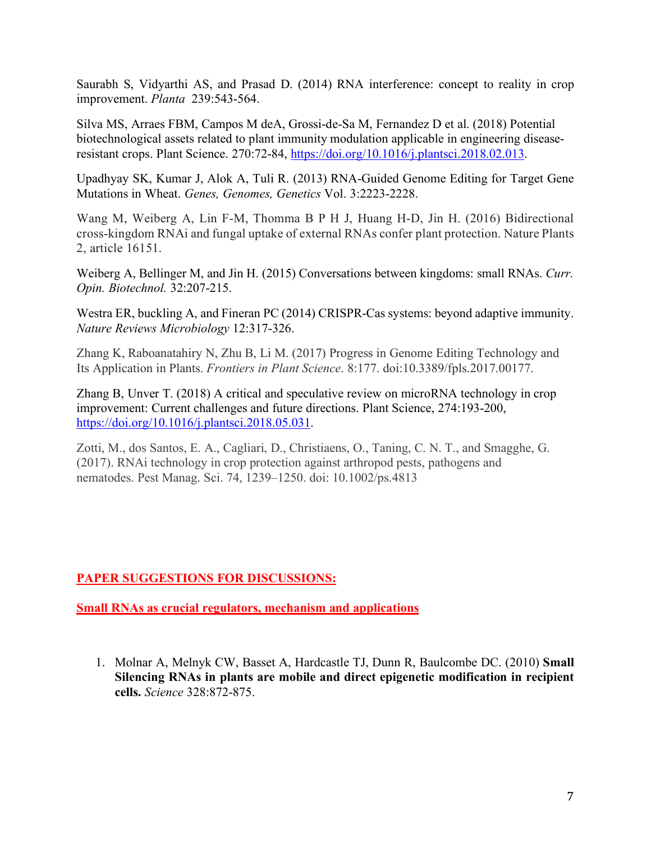Saurabh S, Vidyarthi AS, and Prasad D. (2014) RNA interference: concept to reality in crop improvement. *Planta* 239:543-564.

Silva MS, Arraes FBM, Campos M deA, Grossi-de-Sa M, Fernandez D et al. (2018) Potential biotechnological assets related to plant immunity modulation applicable in engineering diseaseresistant crops. Plant Science. 270:72-84, https://doi.org/10.1016/j.plantsci.2018.02.013.

Upadhyay SK, Kumar J, Alok A, Tuli R. (2013) RNA-Guided Genome Editing for Target Gene Mutations in Wheat. *Genes, Genomes, Genetics* Vol. 3:2223-2228.

Wang M, Weiberg A, Lin F-M, Thomma B P H J, Huang H-D, Jin H. (2016) Bidirectional cross-kingdom RNAi and fungal uptake of external RNAs confer plant protection. Nature Plants 2, article 16151.

Weiberg A, Bellinger M, and Jin H. (2015) Conversations between kingdoms: small RNAs. *Curr. Opin. Biotechnol.* 32:207-215.

Westra ER, buckling A, and Fineran PC (2014) CRISPR-Cas systems: beyond adaptive immunity. *Nature Reviews Microbiology* 12:317-326.

Zhang K, Raboanatahiry N, Zhu B, Li M. (2017) Progress in Genome Editing Technology and Its Application in Plants. *Frontiers in Plant Science*. 8:177. doi:10.3389/fpls.2017.00177.

Zhang B, Unver T. (2018) A critical and speculative review on microRNA technology in crop improvement: Current challenges and future directions. Plant Science, 274:193-200, https://doi.org/10.1016/j.plantsci.2018.05.031.

Zotti, M., dos Santos, E. A., Cagliari, D., Christiaens, O., Taning, C. N. T., and Smagghe, G. (2017). RNAi technology in crop protection against arthropod pests, pathogens and nematodes. Pest Manag. Sci. 74, 1239–1250. doi: 10.1002/ps.4813

# **PAPER SUGGESTIONS FOR DISCUSSIONS:**

**Small RNAs as crucial regulators, mechanism and applications**

1. Molnar A, Melnyk CW, Basset A, Hardcastle TJ, Dunn R, Baulcombe DC. (2010) **Small Silencing RNAs in plants are mobile and direct epigenetic modification in recipient cells.** *Science* 328:872-875.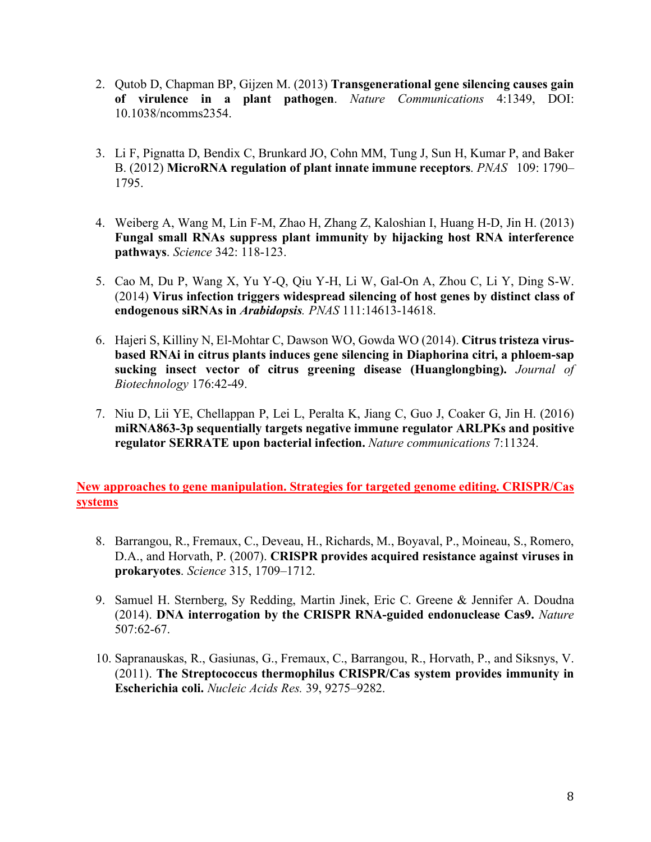- 2. Qutob D, Chapman BP, Gijzen M. (2013) **Transgenerational gene silencing causes gain of virulence in a plant pathogen**. *Nature Communications* 4:1349, DOI: 10.1038/ncomms2354.
- 3. Li F, Pignatta D, Bendix C, Brunkard JO, Cohn MM, Tung J, Sun H, Kumar P, and Baker B. (2012) **MicroRNA regulation of plant innate immune receptors**. *PNAS* 109: 1790– 1795.
- 4. Weiberg A, Wang M, Lin F-M, Zhao H, Zhang Z, Kaloshian I, Huang H-D, Jin H. (2013) **Fungal small RNAs suppress plant immunity by hijacking host RNA interference pathways**. *Science* 342: 118-123.
- 5. Cao M, Du P, Wang X, Yu Y-Q, Qiu Y-H, Li W, Gal-On A, Zhou C, Li Y, Ding S-W. (2014) **Virus infection triggers widespread silencing of host genes by distinct class of endogenous siRNAs in** *Arabidopsis. PNAS* 111:14613-14618.
- 6. Hajeri S, Killiny N, El-Mohtar C, Dawson WO, Gowda WO (2014). **Citrus tristeza virusbased RNAi in citrus plants induces gene silencing in Diaphorina citri, a phloem-sap sucking insect vector of citrus greening disease (Huanglongbing).** *Journal of Biotechnology* 176:42-49.
- 7. Niu D, Lii YE, Chellappan P, Lei L, Peralta K, Jiang C, Guo J, Coaker G, Jin H. (2016) **miRNA863-3p sequentially targets negative immune regulator ARLPKs and positive regulator SERRATE upon bacterial infection.** *Nature communications* 7:11324.

**New approaches to gene manipulation. Strategies for targeted genome editing. CRISPR/Cas systems**

- 8. Barrangou, R., Fremaux, C., Deveau, H., Richards, M., Boyaval, P., Moineau, S., Romero, D.A., and Horvath, P. (2007). **CRISPR provides acquired resistance against viruses in prokaryotes**. *Science* 315, 1709–1712.
- 9. Samuel H. Sternberg, Sy Redding, Martin Jinek, Eric C. Greene & Jennifer A. Doudna (2014). **DNA interrogation by the CRISPR RNA-guided endonuclease Cas9.** *Nature* 507:62-67.
- 10. Sapranauskas, R., Gasiunas, G., Fremaux, C., Barrangou, R., Horvath, P., and Siksnys, V. (2011). **The Streptococcus thermophilus CRISPR/Cas system provides immunity in Escherichia coli.** *Nucleic Acids Res.* 39, 9275–9282.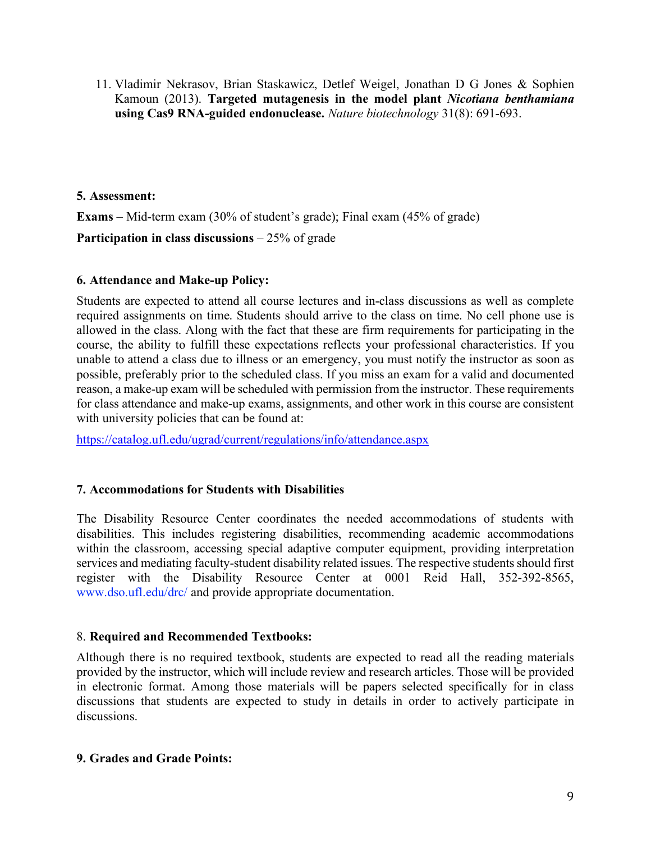11. Vladimir Nekrasov, Brian Staskawicz, Detlef Weigel, Jonathan D G Jones & Sophien Kamoun (2013). **Targeted mutagenesis in the model plant** *Nicotiana benthamiana* **using Cas9 RNA-guided endonuclease.** *Nature biotechnology* 31(8): 691-693.

#### **5. Assessment:**

**Exams** – Mid-term exam (30% of student's grade); Final exam (45% of grade)

**Participation in class discussions** – 25% of grade

#### **6. Attendance and Make-up Policy:**

Students are expected to attend all course lectures and in-class discussions as well as complete required assignments on time. Students should arrive to the class on time. No cell phone use is allowed in the class. Along with the fact that these are firm requirements for participating in the course, the ability to fulfill these expectations reflects your professional characteristics. If you unable to attend a class due to illness or an emergency, you must notify the instructor as soon as possible, preferably prior to the scheduled class. If you miss an exam for a valid and documented reason, a make-up exam will be scheduled with permission from the instructor. These requirements for class attendance and make-up exams, assignments, and other work in this course are consistent with university policies that can be found at:

https://catalog.ufl.edu/ugrad/current/regulations/info/attendance.aspx

# **7. Accommodations for Students with Disabilities**

The Disability Resource Center coordinates the needed accommodations of students with disabilities. This includes registering disabilities, recommending academic accommodations within the classroom, accessing special adaptive computer equipment, providing interpretation services and mediating faculty-student disability related issues. The respective students should first register with the Disability Resource Center at 0001 Reid Hall, 352-392-8565, www.dso.ufl.edu/drc/ and provide appropriate documentation.

# 8. **Required and Recommended Textbooks:**

Although there is no required textbook, students are expected to read all the reading materials provided by the instructor, which will include review and research articles. Those will be provided in electronic format. Among those materials will be papers selected specifically for in class discussions that students are expected to study in details in order to actively participate in discussions.

#### **9. Grades and Grade Points:**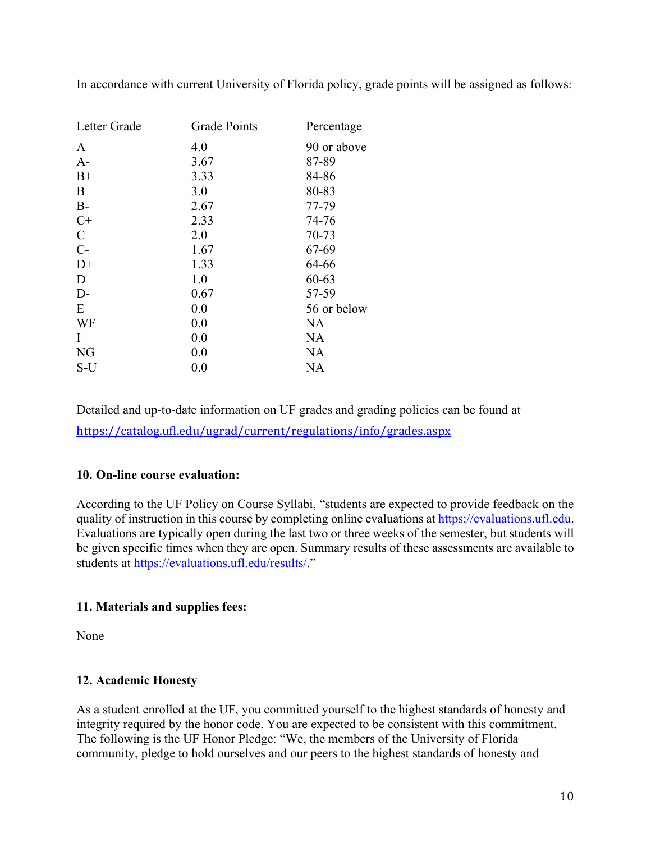| Letter Grade  | Grade Points | Percentage  |
|---------------|--------------|-------------|
| A             | 4.0          | 90 or above |
| $A-$          | 3.67         | 87-89       |
| $B+$          | 3.33         | 84-86       |
| B             | 3.0          | 80-83       |
| $B-$          | 2.67         | 77-79       |
| $C+$          | 2.33         | 74-76       |
| $\mathcal{C}$ | 2.0          | 70-73       |
| $C-$          | 1.67         | 67-69       |
| $D+$          | 1.33         | 64-66       |
| D             | 1.0          | 60-63       |
| $D-$          | 0.67         | 57-59       |
| E             | 0.0          | 56 or below |
| WF            | 0.0          | <b>NA</b>   |
| I             | 0.0          | <b>NA</b>   |
| <b>NG</b>     | 0.0          | <b>NA</b>   |
| S-U           | 0.0          | <b>NA</b>   |

In accordance with current University of Florida policy, grade points will be assigned as follows:

Detailed and up-to-date information on UF grades and grading policies can be found at https://catalog.ufl.edu/ugrad/current/regulations/info/grades.aspx

# **10. On-line course evaluation:**

According to the UF Policy on Course Syllabi, "students are expected to provide feedback on the quality of instruction in this course by completing online evaluations at https://evaluations.ufl.edu. Evaluations are typically open during the last two or three weeks of the semester, but students will be given specific times when they are open. Summary results of these assessments are available to students at https://evaluations.ufl.edu/results/."

# **11. Materials and supplies fees:**

None

# **12. Academic Honesty**

As a student enrolled at the UF, you committed yourself to the highest standards of honesty and integrity required by the honor code. You are expected to be consistent with this commitment. The following is the UF Honor Pledge: "We, the members of the University of Florida community, pledge to hold ourselves and our peers to the highest standards of honesty and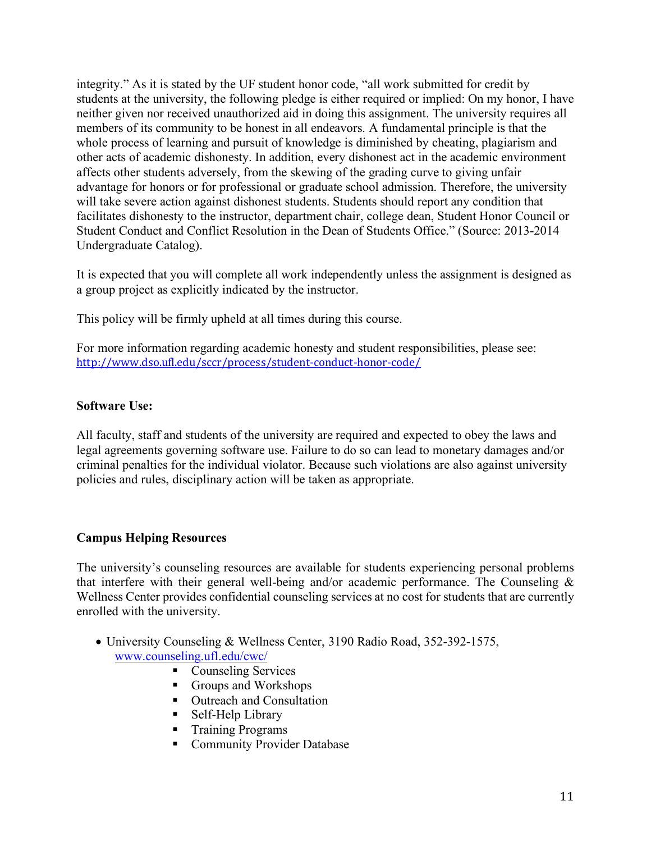integrity." As it is stated by the UF student honor code, "all work submitted for credit by students at the university, the following pledge is either required or implied: On my honor, I have neither given nor received unauthorized aid in doing this assignment. The university requires all members of its community to be honest in all endeavors. A fundamental principle is that the whole process of learning and pursuit of knowledge is diminished by cheating, plagiarism and other acts of academic dishonesty. In addition, every dishonest act in the academic environment affects other students adversely, from the skewing of the grading curve to giving unfair advantage for honors or for professional or graduate school admission. Therefore, the university will take severe action against dishonest students. Students should report any condition that facilitates dishonesty to the instructor, department chair, college dean, Student Honor Council or Student Conduct and Conflict Resolution in the Dean of Students Office." (Source: 2013-2014 Undergraduate Catalog).

It is expected that you will complete all work independently unless the assignment is designed as a group project as explicitly indicated by the instructor.

This policy will be firmly upheld at all times during this course.

For more information regarding academic honesty and student responsibilities, please see: http://www.dso.ufl.edu/sccr/process/student-conduct-honor-code/

# **Software Use:**

All faculty, staff and students of the university are required and expected to obey the laws and legal agreements governing software use. Failure to do so can lead to monetary damages and/or criminal penalties for the individual violator. Because such violations are also against university policies and rules, disciplinary action will be taken as appropriate.

# **Campus Helping Resources**

The university's counseling resources are available for students experiencing personal problems that interfere with their general well-being and/or academic performance. The Counseling & Wellness Center provides confidential counseling services at no cost for students that are currently enrolled with the university.

- University Counseling & Wellness Center, 3190 Radio Road, 352-392-1575, www.counseling.ufl.edu/cwc/
	- Counseling Services
	- Groups and Workshops
	- Outreach and Consultation
	- Self-Help Library
	- Training Programs
	- Community Provider Database